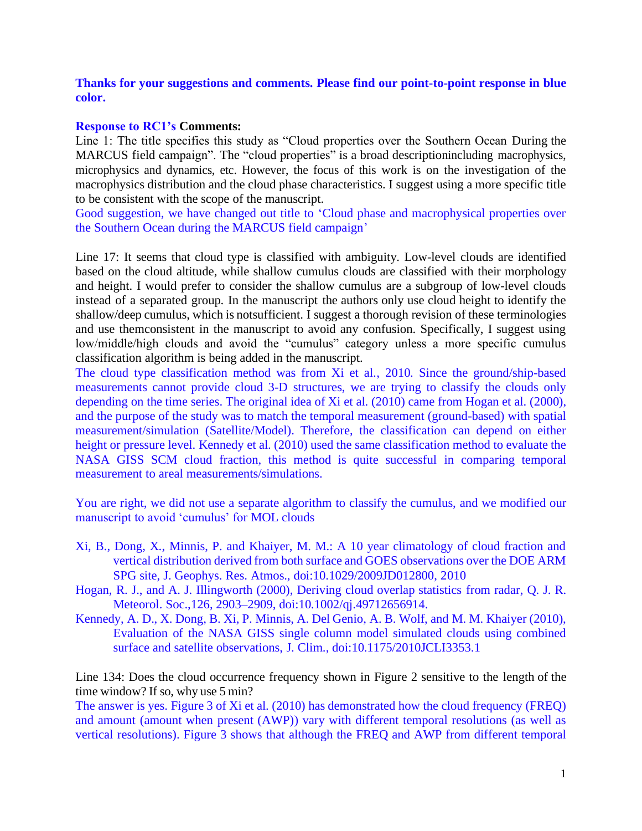**Thanks for your suggestions and comments. Please find our point-to-point response in blue color.**

## **Response to RC1's Comments:**

Line 1: The title specifies this study as "Cloud properties over the Southern Ocean During the MARCUS field campaign". The "cloud properties" is a broad descriptionincluding macrophysics, microphysics and dynamics, etc. However, the focus of this work is on the investigation of the macrophysics distribution and the cloud phase characteristics. I suggest using a more specific title to be consistent with the scope of the manuscript.

Good suggestion, we have changed out title to 'Cloud phase and macrophysical properties over the Southern Ocean during the MARCUS field campaign'

Line 17: It seems that cloud type is classified with ambiguity. Low-level clouds are identified based on the cloud altitude, while shallow cumulus clouds are classified with their morphology and height. I would prefer to consider the shallow cumulus are a subgroup of low-level clouds instead of a separated group. In the manuscript the authors only use cloud height to identify the shallow/deep cumulus, which is notsufficient. I suggest a thorough revision of these terminologies and use themconsistent in the manuscript to avoid any confusion. Specifically, I suggest using low/middle/high clouds and avoid the "cumulus" category unless a more specific cumulus classification algorithm is being added in the manuscript.

The cloud type classification method was from Xi et al., 2010. Since the ground/ship-based measurements cannot provide cloud 3-D structures, we are trying to classify the clouds only depending on the time series. The original idea of Xi et al. (2010) came from Hogan et al. (2000), and the purpose of the study was to match the temporal measurement (ground-based) with spatial measurement/simulation (Satellite/Model). Therefore, the classification can depend on either height or pressure level. Kennedy et al. (2010) used the same classification method to evaluate the NASA GISS SCM cloud fraction, this method is quite successful in comparing temporal measurement to areal measurements/simulations.

You are right, we did not use a separate algorithm to classify the cumulus, and we modified our manuscript to avoid 'cumulus' for MOL clouds

- Xi, B., Dong, X., Minnis, P. and Khaiyer, M. M.: A 10 year climatology of cloud fraction and vertical distribution derived from both surface and GOES observations over the DOE ARM SPG site, J. Geophys. Res. Atmos., doi:10.1029/2009JD012800, 2010
- Hogan, R. J., and A. J. Illingworth (2000), Deriving cloud overlap statistics from radar, Q. J. R. Meteorol. Soc.,126, 2903–2909, doi:10.1002/qj.49712656914.
- Kennedy, A. D., X. Dong, B. Xi, P. Minnis, A. Del Genio, A. B. Wolf, and M. M. Khaiyer (2010), Evaluation of the NASA GISS single column model simulated clouds using combined surface and satellite observations, J. Clim., doi:10.1175/2010JCLI3353.1

Line 134: Does the cloud occurrence frequency shown in Figure 2 sensitive to the length of the time window? If so, why use 5 min?

The answer is yes. Figure 3 of Xi et al. (2010) has demonstrated how the cloud frequency (FREQ) and amount (amount when present (AWP)) vary with different temporal resolutions (as well as vertical resolutions). Figure 3 shows that although the FREQ and AWP from different temporal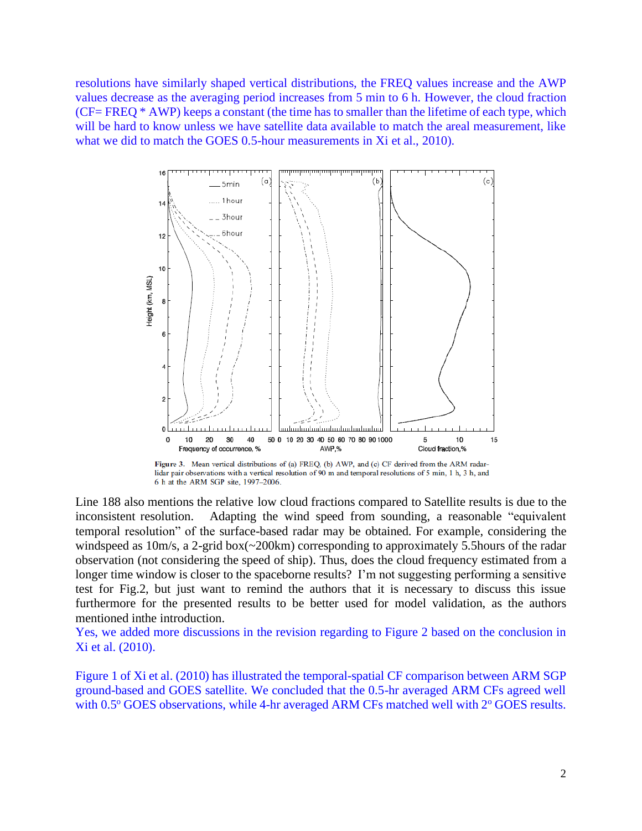resolutions have similarly shaped vertical distributions, the FREQ values increase and the AWP values decrease as the averaging period increases from 5 min to 6 h. However, the cloud fraction (CF= FREQ \* AWP) keeps a constant (the time has to smaller than the lifetime of each type, which will be hard to know unless we have satellite data available to match the areal measurement, like what we did to match the GOES 0.5-hour measurements in Xi et al., 2010).



Figure 3. Mean vertical distributions of (a) FREQ, (b) AWP, and (c) CF derived from the ARM radarlidar pair observations with a vertical resolution of 90 m and temporal resolutions of 5 min, 1 h, 3 h, and 6 h at the ARM SGP site, 1997-2006.

Line 188 also mentions the relative low cloud fractions compared to Satellite results is due to the inconsistent resolution. Adapting the wind speed from sounding, a reasonable "equivalent temporal resolution" of the surface-based radar may be obtained. For example, considering the windspeed as 10m/s, a 2-grid box(~200km) corresponding to approximately 5.5 hours of the radar observation (not considering the speed of ship). Thus, does the cloud frequency estimated from a longer time window is closer to the spaceborne results? I'm not suggesting performing a sensitive test for Fig.2, but just want to remind the authors that it is necessary to discuss this issue furthermore for the presented results to be better used for model validation, as the authors mentioned inthe introduction.

Yes, we added more discussions in the revision regarding to Figure 2 based on the conclusion in Xi et al. (2010).

Figure 1 of Xi et al. (2010) has illustrated the temporal-spatial CF comparison between ARM SGP ground-based and GOES satellite. We concluded that the 0.5-hr averaged ARM CFs agreed well with  $0.5^{\circ}$  GOES observations, while 4-hr averaged ARM CFs matched well with  $2^{\circ}$  GOES results.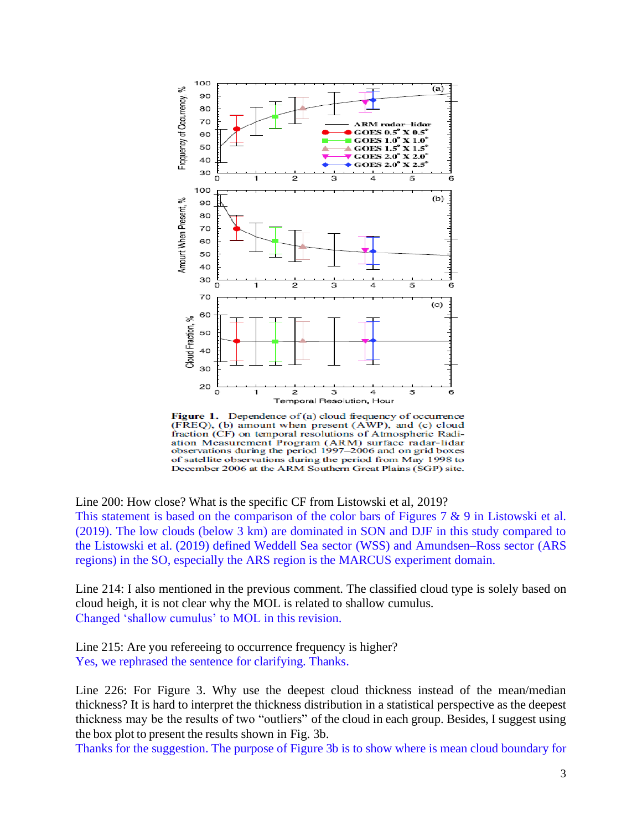

Figure 1. Dependence of (a) cloud frequency of occurrence (FREQ), (b) amount when present (AWP), and (c) cloud fraction (CF) on temporal resolutions of Atmospheric Radiation Measurement Program (ARM) surface radar-lidar observations during the period 1997-2006 and on grid boxes of satellite observations during the period from May 1998 to December 2006 at the ARM Southern Great Plains (SGP) site.

Line 200: How close? What is the specific CF from Listowski et al, 2019?

This statement is based on the comparison of the color bars of Figures 7  $\&$  9 in Listowski et al. (2019). The low clouds (below 3 km) are dominated in SON and DJF in this study compared to the Listowski et al. (2019) defined Weddell Sea sector (WSS) and Amundsen–Ross sector (ARS regions) in the SO, especially the ARS region is the MARCUS experiment domain.

Line 214: I also mentioned in the previous comment. The classified cloud type is solely based on cloud heigh, it is not clear why the MOL is related to shallow cumulus. Changed 'shallow cumulus' to MOL in this revision.

Line 215: Are you refereeing to occurrence frequency is higher? Yes, we rephrased the sentence for clarifying. Thanks.

Line 226: For Figure 3. Why use the deepest cloud thickness instead of the mean/median thickness? It is hard to interpret the thickness distribution in a statistical perspective as the deepest thickness may be the results of two "outliers" of the cloud in each group. Besides, I suggest using the box plot to present the results shown in Fig. 3b.

Thanks for the suggestion. The purpose of Figure 3b is to show where is mean cloud boundary for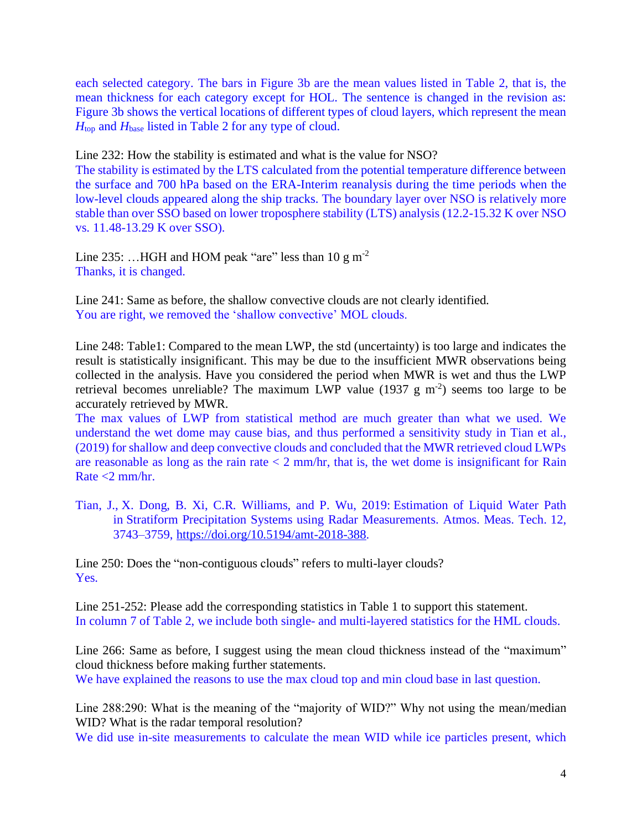each selected category. The bars in Figure 3b are the mean values listed in Table 2, that is, the mean thickness for each category except for HOL. The sentence is changed in the revision as: Figure 3b shows the vertical locations of different types of cloud layers, which represent the mean *H*top and *H*base listed in Table 2 for any type of cloud.

Line 232: How the stability is estimated and what is the value for NSO?

The stability is estimated by the LTS calculated from the potential temperature difference between the surface and 700 hPa based on the ERA-Interim reanalysis during the time periods when the low-level clouds appeared along the ship tracks. The boundary layer over NSO is relatively more stable than over SSO based on lower troposphere stability (LTS) analysis (12.2-15.32 K over NSO vs. 11.48-13.29 K over SSO).

Line 235: ...HGH and HOM peak "are" less than 10 g m<sup>-2</sup> Thanks, it is changed.

Line 241: Same as before, the shallow convective clouds are not clearly identified. You are right, we removed the 'shallow convective' MOL clouds.

Line 248: Table1: Compared to the mean LWP, the std (uncertainty) is too large and indicates the result is statistically insignificant. This may be due to the insufficient MWR observations being collected in the analysis. Have you considered the period when MWR is wet and thus the LWP retrieval becomes unreliable? The maximum LWP value (1937  $g$  m<sup>-2</sup>) seems too large to be accurately retrieved by MWR.

The max values of LWP from statistical method are much greater than what we used. We understand the wet dome may cause bias, and thus performed a sensitivity study in Tian et al., (2019) for shallow and deep convective clouds and concluded that the MWR retrieved cloud LWPs are reasonable as long as the rain rate  $<$  2 mm/hr, that is, the wet dome is insignificant for Rain Rate <2 mm/hr.

Tian, J., X. Dong, B. Xi, C.R. Williams, and P. Wu, 2019: Estimation of Liquid Water Path in Stratiform Precipitation Systems using Radar Measurements. Atmos. Meas. Tech. 12, 3743–3759, [https://doi.org/10.5194/amt-2018-388.](https://doi.org/10.5194/amt-2018-388)

Line 250: Does the "non-contiguous clouds" refers to multi-layer clouds? Yes.

Line 251-252: Please add the corresponding statistics in Table 1 to support this statement. In column 7 of Table 2, we include both single- and multi-layered statistics for the HML clouds.

Line 266: Same as before, I suggest using the mean cloud thickness instead of the "maximum" cloud thickness before making further statements.

We have explained the reasons to use the max cloud top and min cloud base in last question.

Line 288:290: What is the meaning of the "majority of WID?" Why not using the mean/median WID? What is the radar temporal resolution?

We did use in-site measurements to calculate the mean WID while ice particles present, which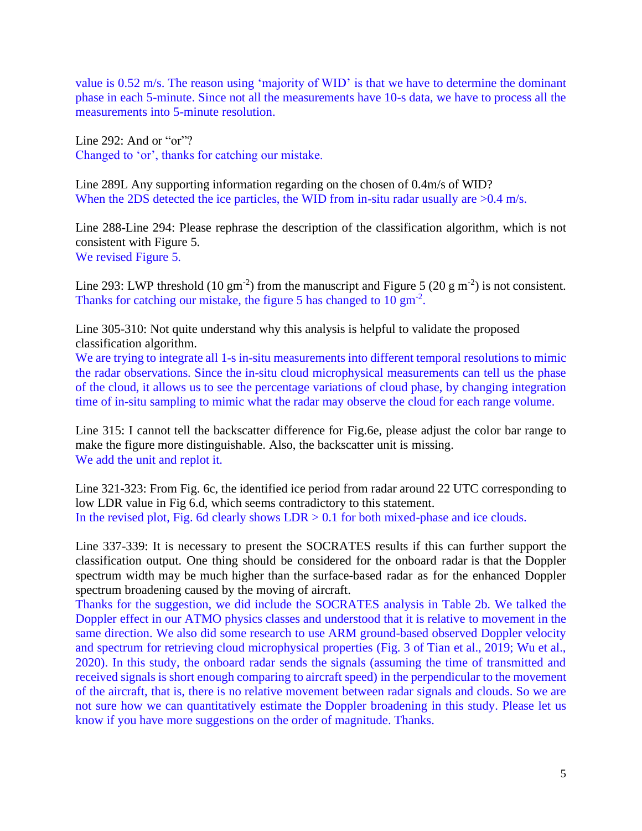value is 0.52 m/s. The reason using 'majority of WID' is that we have to determine the dominant phase in each 5-minute. Since not all the measurements have 10-s data, we have to process all the measurements into 5-minute resolution.

Line 292: And or "or"? Changed to 'or', thanks for catching our mistake.

Line 289L Any supporting information regarding on the chosen of 0.4m/s of WID? When the 2DS detected the ice particles, the WID from in-situ radar usually are  $>0.4$  m/s.

Line 288-Line 294: Please rephrase the description of the classification algorithm, which is not consistent with Figure 5. We revised Figure 5.

Line 293: LWP threshold (10 gm<sup>-2</sup>) from the manuscript and Figure 5 (20 g m<sup>-2</sup>) is not consistent. Thanks for catching our mistake, the figure 5 has changed to  $10 \text{ gm}^{-2}$ .

Line 305-310: Not quite understand why this analysis is helpful to validate the proposed classification algorithm.

We are trying to integrate all 1-s in-situ measurements into different temporal resolutions to mimic the radar observations. Since the in-situ cloud microphysical measurements can tell us the phase of the cloud, it allows us to see the percentage variations of cloud phase, by changing integration time of in-situ sampling to mimic what the radar may observe the cloud for each range volume.

Line 315: I cannot tell the backscatter difference for Fig.6e, please adjust the color bar range to make the figure more distinguishable. Also, the backscatter unit is missing. We add the unit and replot it.

Line 321-323: From Fig. 6c, the identified ice period from radar around 22 UTC corresponding to low LDR value in Fig 6.d, which seems contradictory to this statement. In the revised plot, Fig. 6d clearly shows  $LDR > 0.1$  for both mixed-phase and ice clouds.

Line 337-339: It is necessary to present the SOCRATES results if this can further support the classification output. One thing should be considered for the onboard radar is that the Doppler spectrum width may be much higher than the surface-based radar as for the enhanced Doppler spectrum broadening caused by the moving of aircraft.

Thanks for the suggestion, we did include the SOCRATES analysis in Table 2b. We talked the Doppler effect in our ATMO physics classes and understood that it is relative to movement in the same direction. We also did some research to use ARM ground-based observed Doppler velocity and spectrum for retrieving cloud microphysical properties (Fig. 3 of Tian et al., 2019; Wu et al., 2020). In this study, the onboard radar sends the signals (assuming the time of transmitted and received signals is short enough comparing to aircraft speed) in the perpendicular to the movement of the aircraft, that is, there is no relative movement between radar signals and clouds. So we are not sure how we can quantitatively estimate the Doppler broadening in this study. Please let us know if you have more suggestions on the order of magnitude. Thanks.